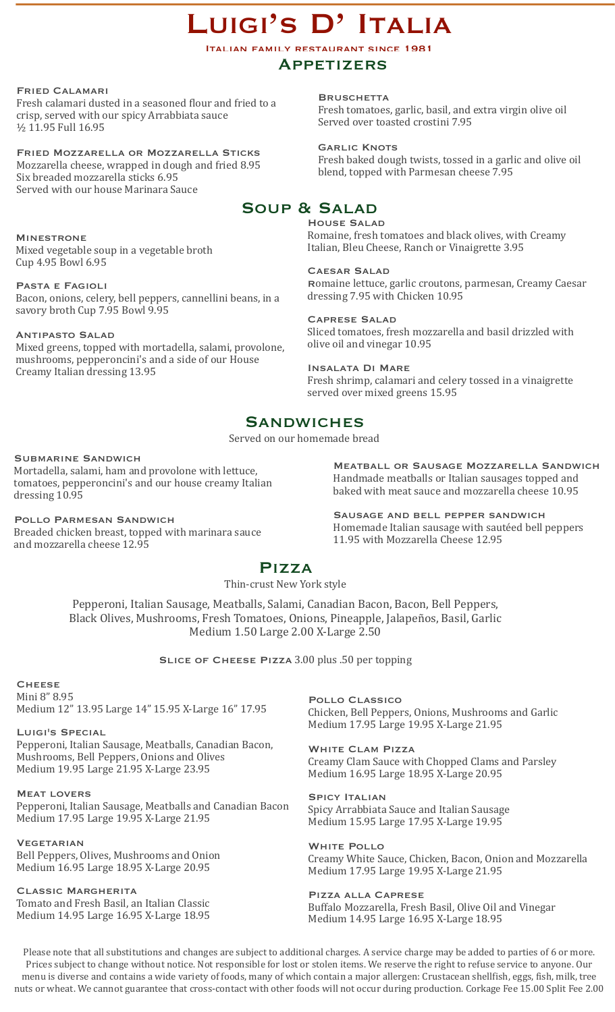# LUIGI'S D' ITALIA

Italian family restaurant since 1981

### **APPETIZERS**

Fried Calamari

Fresh calamari dusted in a seasoned flour and fried to a crisp, served with our spicy Arrabbiata sauce 1/<sub>2</sub> 11.95 Full 16.95

Fried Mozzarella or Mozzarella Sticks Mozzarella cheese, wrapped in dough and fried 8.95 Six breaded mozzarella sticks 6.95 Served with our house Marinara Sauce

**MINESTRONE** Mixed vegetable soup in a vegetable broth Cup 4.95 Bowl 6.95 

Pasta e Fagioli Bacon, onions, celery, bell peppers, cannellini beans, in a savory broth Cup 7.95 Bowl 9.95

Antipasto Salad Mixed greens, topped with mortadella, salami, provolone, mushrooms, pepperoncini's and a side of our House Creamy Italian dressing 13.95 

**BRUSCHETTA** Fresh tomatoes, garlic, basil, and extra virgin olive oil Served over toasted crostini 7.95

**GARLIC KNOTS** Fresh baked dough twists, tossed in a garlic and olive oil blend, topped with Parmesan cheese 7.95

# Soup & Salad

House Salad Romaine, fresh tomatoes and black olives, with Creamy Italian, Bleu Cheese, Ranch or Vinaigrette 3.95

#### CAESAR SALAD

Romaine lettuce, garlic croutons, parmesan, Creamy Caesar dressing 7.95 with Chicken 10.95

#### Caprese Salad

Sliced tomatoes, fresh mozzarella and basil drizzled with olive oil and vinegar 10.95

Insalata Di Mare Fresh shrimp, calamari and celery tossed in a vinaigrette served over mixed greens 15.95

# **SANDWICHES**

Served on our homemade bread

#### Submarine Sandwich

Mortadella, salami, ham and provolone with lettuce, tomatoes, pepperoncini's and our house creamy Italian dressing 10.95

Pollo Parmesan Sandwich Breaded chicken breast, topped with marinara sauce and mozzarella cheese 12.95

Meatball or Sausage Mozzarella Sandwich Handmade meatballs or Italian sausages topped and baked with meat sauce and mozzarella cheese 10.95

Sausage and bell pepper sandwich Homemade Italian sausage with sautéed bell peppers 11.95 with Mozzarella Cheese 12.95

# Pizza

#### Thin-crust New York style

Pepperoni, Italian Sausage, Meatballs, Salami, Canadian Bacon, Bacon, Bell Peppers, Black Olives, Mushrooms, Fresh Tomatoes, Onions, Pineapple, Jalapeños, Basil, Garlic Medium 1.50 Large 2.00 X-Large 2.50

SLICE OF CHEESE PIZZA 3.00 plus .50 per topping

# **CHEESE**

Mini 8" 8.95 Medium 12" 13.95 Large 14" 15.95 X-Large 16" 17.95

Luigi's Special

Pepperoni, Italian Sausage, Meatballs, Canadian Bacon, Mushrooms, Bell Peppers, Onions and Olives Medium 19.95 Large 21.95 X-Large 23.95

Meat lovers Pepperoni, Italian Sausage, Meatballs and Canadian Bacon Medium 17.95 Large 19.95 X-Large 21.95

**VEGETARIAN** Bell Peppers, Olives, Mushrooms and Onion Medium 16.95 Large 18.95 X-Large 20.95

Classic Margherita Tomato and Fresh Basil, an Italian Classic Medium 14.95 Large 16.95 X-Large 18.95 Pollo Classico Chicken, Bell Peppers, Onions, Mushrooms and Garlic Medium 17.95 Large 19.95 X-Large 21.95

White Clam Pizza Creamy Clam Sauce with Chopped Clams and Parsley Medium 16.95 Large 18.95 X-Large 20.95

SPICY **ITALIAN** Spicy Arrabbiata Sauce and Italian Sausage Medium 15.95 Large 17.95 X-Large 19.95

White Pollo Creamy White Sauce, Chicken, Bacon, Onion and Mozzarella Medium 17.95 Large 19.95 X-Large 21.95

Pizza alla Caprese Buffalo Mozzarella, Fresh Basil, Olive Oil and Vinegar Medium 14.95 Large 16.95 X-Large 18.95

Please note that all substitutions and changes are subject to additional charges. A service charge may be added to parties of 6 or more. Prices subject to change without notice. Not responsible for lost or stolen items. We reserve the right to refuse service to anyone. Our menu is diverse and contains a wide variety of foods, many of which contain a major allergen: Crustacean shellfish, eggs, fish, milk, tree nuts or wheat. We cannot guarantee that cross-contact with other foods will not occur during production. Corkage Fee 15.00 Split Fee 2.00